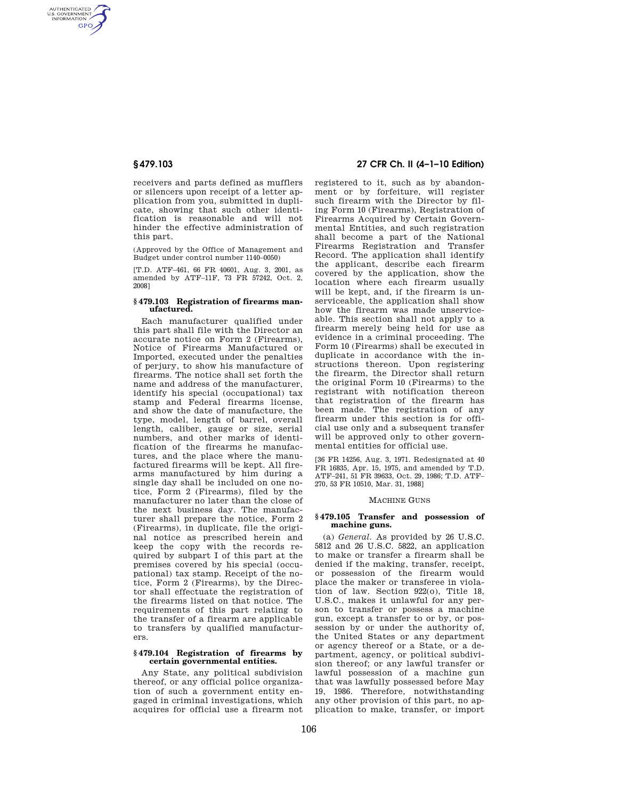AUTHENTICATED<br>U.S. GOVERNMENT<br>INFORMATION **GPO** 

> receivers and parts defined as mufflers or silencers upon receipt of a letter application from you, submitted in duplicate, showing that such other identification is reasonable and will not hinder the effective administration of this part.

(Approved by the Office of Management and Budget under control number 1140–0050)

[T.D. ATF–461, 66 FR 40601, Aug. 3, 2001, as amended by ATF–11F, 73 FR 57242, Oct. 2, 2008]

#### **§ 479.103 Registration of firearms manufactured.**

Each manufacturer qualified under this part shall file with the Director an accurate notice on Form 2 (Firearms), Notice of Firearms Manufactured or Imported, executed under the penalties of perjury, to show his manufacture of firearms. The notice shall set forth the name and address of the manufacturer, identify his special (occupational) tax stamp and Federal firearms license, and show the date of manufacture, the type, model, length of barrel, overall length, caliber, gauge or size, serial numbers, and other marks of identification of the firearms he manufactures, and the place where the manufactured firearms will be kept. All firearms manufactured by him during a single day shall be included on one notice, Form 2 (Firearms), filed by the manufacturer no later than the close of the next business day. The manufacturer shall prepare the notice, Form 2 (Firearms), in duplicate, file the original notice as prescribed herein and keep the copy with the records required by subpart I of this part at the premises covered by his special (occupational) tax stamp. Receipt of the notice, Form 2 (Firearms), by the Director shall effectuate the registration of the firearms listed on that notice. The requirements of this part relating to the transfer of a firearm are applicable to transfers by qualified manufacturers.

#### **§ 479.104 Registration of firearms by certain governmental entities.**

Any State, any political subdivision thereof, or any official police organization of such a government entity engaged in criminal investigations, which acquires for official use a firearm not

# **§ 479.103 27 CFR Ch. II (4–1–10 Edition)**

registered to it, such as by abandonment or by forfeiture, will register such firearm with the Director by filing Form 10 (Firearms), Registration of Firearms Acquired by Certain Governmental Entities, and such registration shall become a part of the National Firearms Registration and Transfer Record. The application shall identify the applicant, describe each firearm covered by the application, show the location where each firearm usually will be kept, and, if the firearm is unserviceable, the application shall show how the firearm was made unserviceable. This section shall not apply to a firearm merely being held for use as evidence in a criminal proceeding. The Form 10 (Firearms) shall be executed in duplicate in accordance with the instructions thereon. Upon registering the firearm, the Director shall return the original Form 10 (Firearms) to the registrant with notification thereon that registration of the firearm has been made. The registration of any firearm under this section is for official use only and a subsequent transfer will be approved only to other governmental entities for official use.

[36 FR 14256, Aug. 3, 1971. Redesignated at 40 FR 16835, Apr. 15, 1975, and amended by T.D. ATF–241, 51 FR 39633, Oct. 29, 1986; T.D. ATF– 270, 53 FR 10510, Mar. 31, 1988]

#### MACHINE GUNS

### **§ 479.105 Transfer and possession of machine guns.**

(a) *General.* As provided by 26 U.S.C. 5812 and 26 U.S.C. 5822, an application to make or transfer a firearm shall be denied if the making, transfer, receipt, or possession of the firearm would place the maker or transferee in violation of law. Section 922(o), Title 18, U.S.C., makes it unlawful for any person to transfer or possess a machine gun, except a transfer to or by, or possession by or under the authority of, the United States or any department or agency thereof or a State, or a department, agency, or political subdivision thereof; or any lawful transfer or lawful possession of a machine gun that was lawfully possessed before May 19, 1986. Therefore, notwithstanding any other provision of this part, no application to make, transfer, or import